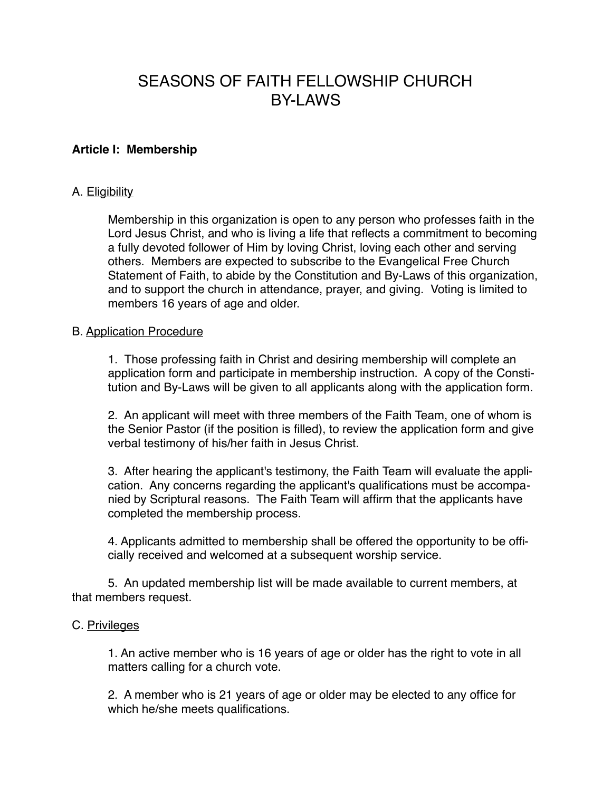# SEASONS OF FAITH FELLOWSHIP CHURCH **BY-LAWS**

# **Article I: Membership**

# A. Eligibility

Membership in this organization is open to any person who professes faith in the Lord Jesus Christ, and who is living a life that reflects a commitment to becoming a fully devoted follower of Him by loving Christ, loving each other and serving others. Members are expected to subscribe to the Evangelical Free Church Statement of Faith, to abide by the Constitution and By-Laws of this organization, and to support the church in attendance, prayer, and giving. Voting is limited to members 16 years of age and older.

# B. Application Procedure

1. Those professing faith in Christ and desiring membership will complete an application form and participate in membership instruction. A copy of the Constitution and By-Laws will be given to all applicants along with the application form.

2. An applicant will meet with three members of the Faith Team, one of whom is the Senior Pastor (if the position is filled), to review the application form and give verbal testimony of his/her faith in Jesus Christ.

3. After hearing the applicant's testimony, the Faith Team will evaluate the application. Any concerns regarding the applicant's qualifications must be accompanied by Scriptural reasons. The Faith Team will affirm that the applicants have completed the membership process.

4. Applicants admitted to membership shall be offered the opportunity to be officially received and welcomed at a subsequent worship service.

5. An updated membership list will be made available to current members, at that members request.

# C. Privileges

1. An active member who is 16 years of age or older has the right to vote in all matters calling for a church vote.

2. A member who is 21 years of age or older may be elected to any office for which he/she meets qualifications.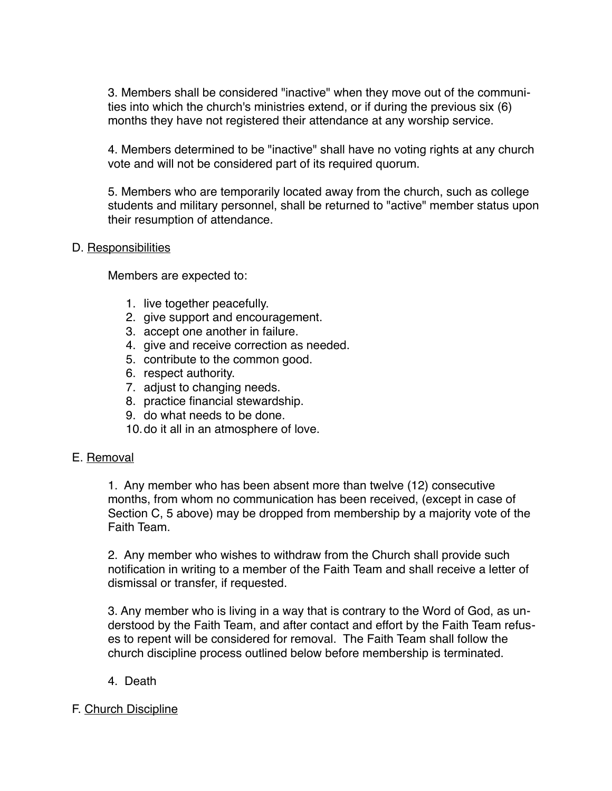3. Members shall be considered "inactive" when they move out of the communities into which the church's ministries extend, or if during the previous six (6) months they have not registered their attendance at any worship service.

4. Members determined to be "inactive" shall have no voting rights at any church vote and will not be considered part of its required quorum.

5. Members who are temporarily located away from the church, such as college students and military personnel, shall be returned to "active" member status upon their resumption of attendance.

# D. Responsibilities

Members are expected to:

- 1. live together peacefully.
- 2. give support and encouragement.
- 3. accept one another in failure.
- 4. give and receive correction as needed.
- 5. contribute to the common good.
- 6. respect authority.
- 7. adjust to changing needs.
- 8. practice financial stewardship.
- 9. do what needs to be done.
- 10.do it all in an atmosphere of love.

#### E. Removal

1. Any member who has been absent more than twelve (12) consecutive months, from whom no communication has been received, (except in case of Section C, 5 above) may be dropped from membership by a majority vote of the Faith Team.

2. Any member who wishes to withdraw from the Church shall provide such notification in writing to a member of the Faith Team and shall receive a letter of dismissal or transfer, if requested.

3. Any member who is living in a way that is contrary to the Word of God, as understood by the Faith Team, and after contact and effort by the Faith Team refuses to repent will be considered for removal. The Faith Team shall follow the church discipline process outlined below before membership is terminated.

4. Death

# F. Church Discipline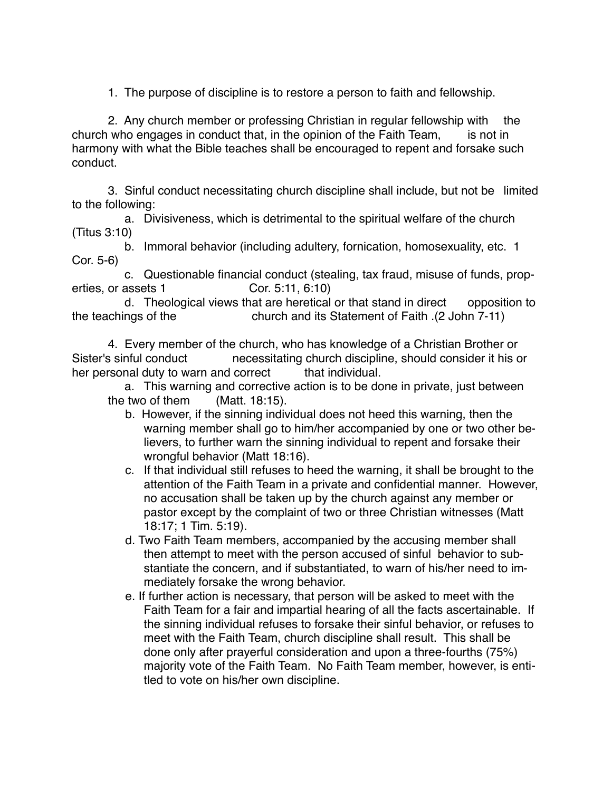1. The purpose of discipline is to restore a person to faith and fellowship.

2. Any church member or professing Christian in regular fellowship with the church who engages in conduct that, in the opinion of the Faith Team, is not in harmony with what the Bible teaches shall be encouraged to repent and forsake such conduct.

3. Sinful conduct necessitating church discipline shall include, but not be limited to the following:

 a. Divisiveness, which is detrimental to the spiritual welfare of the church (Titus 3:10)

 b. Immoral behavior (including adultery, fornication, homosexuality, etc. 1 Cor. 5-6)

 c. Questionable financial conduct (stealing, tax fraud, misuse of funds, properties, or assets 1 Cor. 5:11, 6:10)

 d. Theological views that are heretical or that stand in direct opposition to the teachings of the church and its Statement of Faith .(2 John 7-11)

4. Every member of the church, who has knowledge of a Christian Brother or Sister's sinful conduct necessitating church discipline, should consider it his or her personal duty to warn and correct that individual.

 a. This warning and corrective action is to be done in private, just between the two of them (Matt. 18:15).

- b. However, if the sinning individual does not heed this warning, then the warning member shall go to him/her accompanied by one or two other believers, to further warn the sinning individual to repent and forsake their wrongful behavior (Matt 18:16).
- c. If that individual still refuses to heed the warning, it shall be brought to the attention of the Faith Team in a private and confidential manner. However, no accusation shall be taken up by the church against any member or pastor except by the complaint of two or three Christian witnesses (Matt 18:17; 1 Tim. 5:19).
- d. Two Faith Team members, accompanied by the accusing member shall then attempt to meet with the person accused of sinful behavior to substantiate the concern, and if substantiated, to warn of his/her need to immediately forsake the wrong behavior.
- e. If further action is necessary, that person will be asked to meet with the Faith Team for a fair and impartial hearing of all the facts ascertainable. If the sinning individual refuses to forsake their sinful behavior, or refuses to meet with the Faith Team, church discipline shall result. This shall be done only after prayerful consideration and upon a three-fourths (75%) majority vote of the Faith Team. No Faith Team member, however, is entitled to vote on his/her own discipline.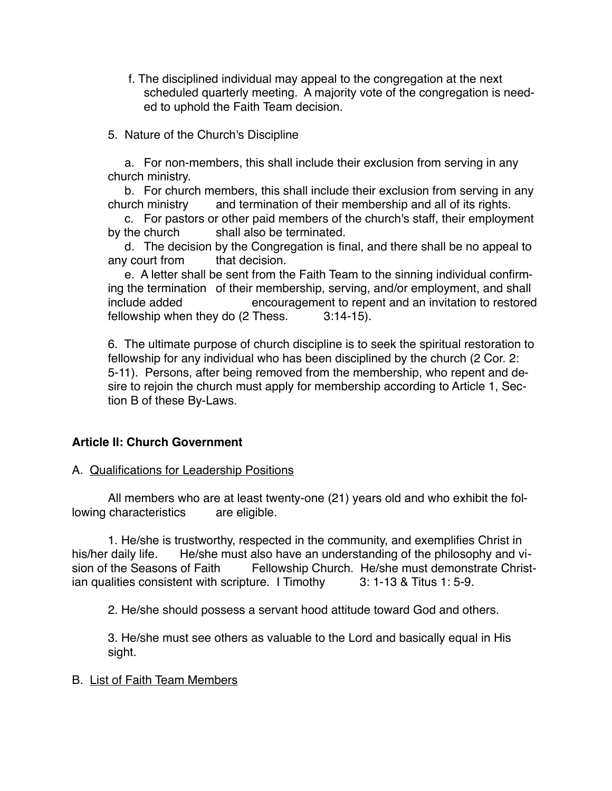- f. The disciplined individual may appeal to the congregation at the next scheduled quarterly meeting. A majority vote of the congregation is needed to uphold the Faith Team decision.
- 5. Nature of the Church's Discipline

 a. For non-members, this shall include their exclusion from serving in any church ministry.

 b. For church members, this shall include their exclusion from serving in any church ministry and termination of their membership and all of its rights.

 c. For pastors or other paid members of the church's staff, their employment by the church shall also be terminated.

 d. The decision by the Congregation is final, and there shall be no appeal to any court from that decision.

 e. A letter shall be sent from the Faith Team to the sinning individual confirming the termination of their membership, serving, and/or employment, and shall include added encouragement to repent and an invitation to restored fellowship when they do (2 Thess. 3:14-15).

6. The ultimate purpose of church discipline is to seek the spiritual restoration to fellowship for any individual who has been disciplined by the church (2 Cor. 2: 5-11). Persons, after being removed from the membership, who repent and desire to rejoin the church must apply for membership according to Article 1, Section B of these By-Laws.

# **Article II: Church Government**

# A. Qualifications for Leadership Positions

All members who are at least twenty-one (21) years old and who exhibit the following characteristics are eligible.

1. He/she is trustworthy, respected in the community, and exemplifies Christ in his/her daily life. He/she must also have an understanding of the philosophy and vision of the Seasons of Faith Fellowship Church. He/she must demonstrate Christian qualities consistent with scripture. I Timothy 3: 1-13 & Titus 1: 5-9.

2. He/she should possess a servant hood attitude toward God and others.

3. He/she must see others as valuable to the Lord and basically equal in His sight.

#### B. List of Faith Team Members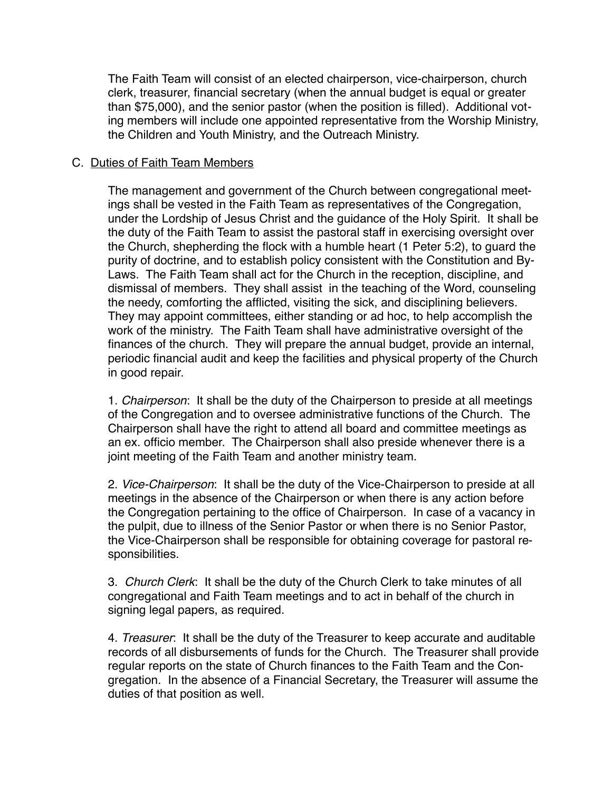The Faith Team will consist of an elected chairperson, vice-chairperson, church clerk, treasurer, financial secretary (when the annual budget is equal or greater than \$75,000), and the senior pastor (when the position is filled). Additional voting members will include one appointed representative from the Worship Ministry, the Children and Youth Ministry, and the Outreach Ministry.

# C. Duties of Faith Team Members

The management and government of the Church between congregational meetings shall be vested in the Faith Team as representatives of the Congregation, under the Lordship of Jesus Christ and the guidance of the Holy Spirit. It shall be the duty of the Faith Team to assist the pastoral staff in exercising oversight over the Church, shepherding the flock with a humble heart (1 Peter 5:2), to guard the purity of doctrine, and to establish policy consistent with the Constitution and By-Laws. The Faith Team shall act for the Church in the reception, discipline, and dismissal of members. They shall assist in the teaching of the Word, counseling the needy, comforting the afflicted, visiting the sick, and disciplining believers. They may appoint committees, either standing or ad hoc, to help accomplish the work of the ministry. The Faith Team shall have administrative oversight of the finances of the church. They will prepare the annual budget, provide an internal, periodic financial audit and keep the facilities and physical property of the Church in good repair.

1. *Chairperson*: It shall be the duty of the Chairperson to preside at all meetings of the Congregation and to oversee administrative functions of the Church. The Chairperson shall have the right to attend all board and committee meetings as an ex. officio member. The Chairperson shall also preside whenever there is a joint meeting of the Faith Team and another ministry team.

2. *Vice-Chairperson*: It shall be the duty of the Vice-Chairperson to preside at all meetings in the absence of the Chairperson or when there is any action before the Congregation pertaining to the office of Chairperson. In case of a vacancy in the pulpit, due to illness of the Senior Pastor or when there is no Senior Pastor, the Vice-Chairperson shall be responsible for obtaining coverage for pastoral responsibilities.

3. *Church Clerk*: It shall be the duty of the Church Clerk to take minutes of all congregational and Faith Team meetings and to act in behalf of the church in signing legal papers, as required.

4. *Treasurer*: It shall be the duty of the Treasurer to keep accurate and auditable records of all disbursements of funds for the Church. The Treasurer shall provide regular reports on the state of Church finances to the Faith Team and the Congregation. In the absence of a Financial Secretary, the Treasurer will assume the duties of that position as well.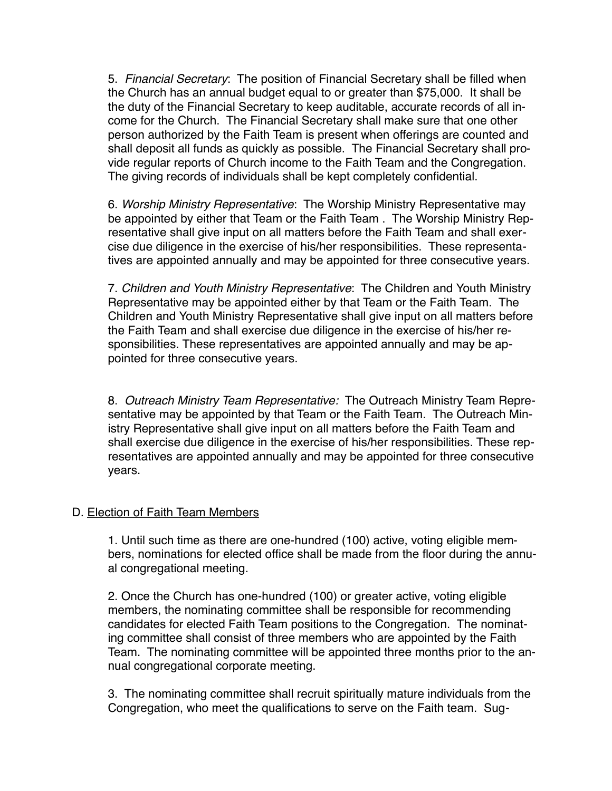5. *Financial Secretary*: The position of Financial Secretary shall be filled when the Church has an annual budget equal to or greater than \$75,000. It shall be the duty of the Financial Secretary to keep auditable, accurate records of all income for the Church. The Financial Secretary shall make sure that one other person authorized by the Faith Team is present when offerings are counted and shall deposit all funds as quickly as possible. The Financial Secretary shall provide regular reports of Church income to the Faith Team and the Congregation. The giving records of individuals shall be kept completely confidential.

6. *Worship Ministry Representative*: The Worship Ministry Representative may be appointed by either that Team or the Faith Team . The Worship Ministry Representative shall give input on all matters before the Faith Team and shall exercise due diligence in the exercise of his/her responsibilities. These representatives are appointed annually and may be appointed for three consecutive years.

7. *Children and Youth Ministry Representative*: The Children and Youth Ministry Representative may be appointed either by that Team or the Faith Team. The Children and Youth Ministry Representative shall give input on all matters before the Faith Team and shall exercise due diligence in the exercise of his/her responsibilities. These representatives are appointed annually and may be appointed for three consecutive years.

8. *Outreach Ministry Team Representative:* The Outreach Ministry Team Representative may be appointed by that Team or the Faith Team. The Outreach Ministry Representative shall give input on all matters before the Faith Team and shall exercise due diligence in the exercise of his/her responsibilities. These representatives are appointed annually and may be appointed for three consecutive years.

# D. Election of Faith Team Members

1. Until such time as there are one-hundred (100) active, voting eligible members, nominations for elected office shall be made from the floor during the annual congregational meeting.

2. Once the Church has one-hundred (100) or greater active, voting eligible members, the nominating committee shall be responsible for recommending candidates for elected Faith Team positions to the Congregation. The nominating committee shall consist of three members who are appointed by the Faith Team. The nominating committee will be appointed three months prior to the annual congregational corporate meeting.

3. The nominating committee shall recruit spiritually mature individuals from the Congregation, who meet the qualifications to serve on the Faith team. Sug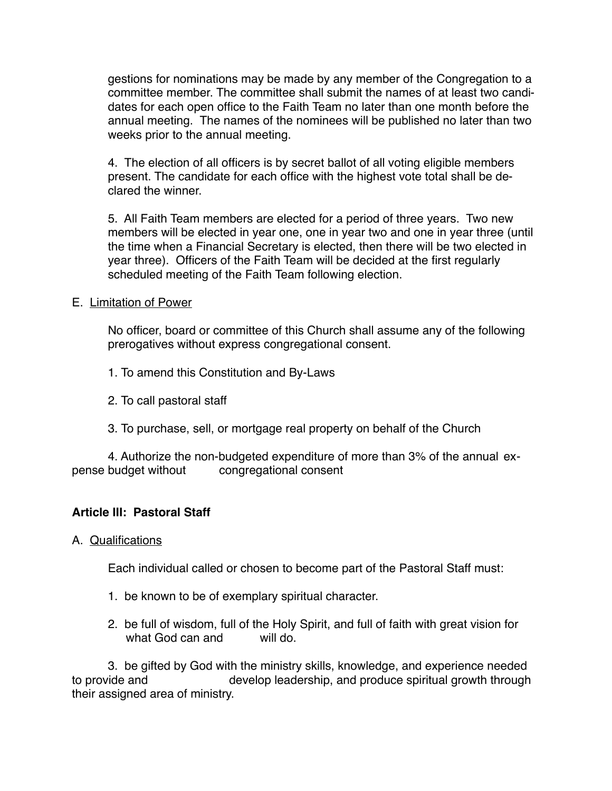gestions for nominations may be made by any member of the Congregation to a committee member. The committee shall submit the names of at least two candidates for each open office to the Faith Team no later than one month before the annual meeting. The names of the nominees will be published no later than two weeks prior to the annual meeting.

4. The election of all officers is by secret ballot of all voting eligible members present. The candidate for each office with the highest vote total shall be declared the winner.

5. All Faith Team members are elected for a period of three years. Two new members will be elected in year one, one in year two and one in year three (until the time when a Financial Secretary is elected, then there will be two elected in year three). Officers of the Faith Team will be decided at the first regularly scheduled meeting of the Faith Team following election.

### E. Limitation of Power

No officer, board or committee of this Church shall assume any of the following prerogatives without express congregational consent.

- 1. To amend this Constitution and By-Laws
- 2. To call pastoral staff
- 3. To purchase, sell, or mortgage real property on behalf of the Church

4. Authorize the non-budgeted expenditure of more than 3% of the annual expense budget without congregational consent

# **Article III: Pastoral Staff**

A. Qualifications

Each individual called or chosen to become part of the Pastoral Staff must:

- 1. be known to be of exemplary spiritual character.
- 2. be full of wisdom, full of the Holy Spirit, and full of faith with great vision for what God can and will do.

3. be gifted by God with the ministry skills, knowledge, and experience needed to provide and develop leadership, and produce spiritual growth through their assigned area of ministry.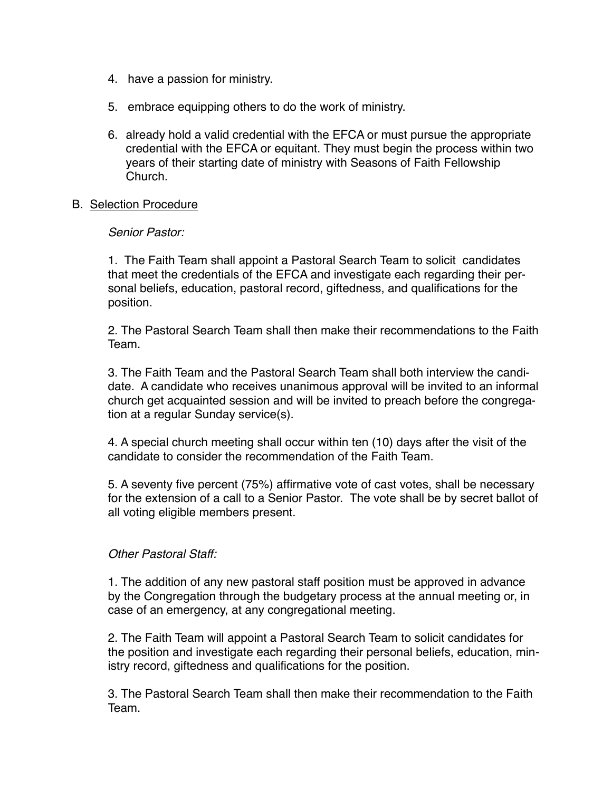- 4. have a passion for ministry.
- 5. embrace equipping others to do the work of ministry.
- 6. already hold a valid credential with the EFCA or must pursue the appropriate credential with the EFCA or equitant. They must begin the process within two years of their starting date of ministry with Seasons of Faith Fellowship Church.

#### B. Selection Procedure

### *Senior Pastor:*

1. The Faith Team shall appoint a Pastoral Search Team to solicit candidates that meet the credentials of the EFCA and investigate each regarding their personal beliefs, education, pastoral record, giftedness, and qualifications for the position.

2. The Pastoral Search Team shall then make their recommendations to the Faith Team.

3. The Faith Team and the Pastoral Search Team shall both interview the candidate. A candidate who receives unanimous approval will be invited to an informal church get acquainted session and will be invited to preach before the congregation at a regular Sunday service(s).

4. A special church meeting shall occur within ten (10) days after the visit of the candidate to consider the recommendation of the Faith Team.

5. A seventy five percent (75%) affirmative vote of cast votes, shall be necessary for the extension of a call to a Senior Pastor. The vote shall be by secret ballot of all voting eligible members present.

# *Other Pastoral Staff:*

1. The addition of any new pastoral staff position must be approved in advance by the Congregation through the budgetary process at the annual meeting or, in case of an emergency, at any congregational meeting.

2. The Faith Team will appoint a Pastoral Search Team to solicit candidates for the position and investigate each regarding their personal beliefs, education, ministry record, giftedness and qualifications for the position.

3. The Pastoral Search Team shall then make their recommendation to the Faith Team.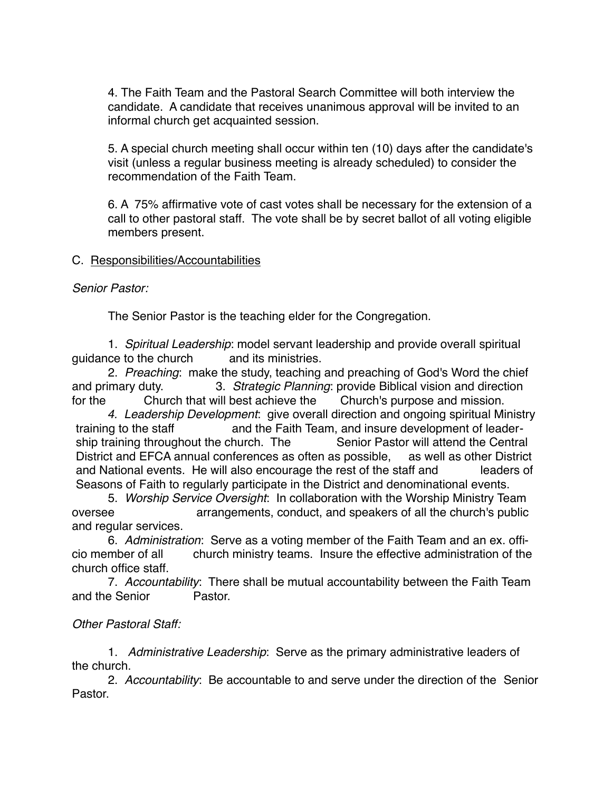4. The Faith Team and the Pastoral Search Committee will both interview the candidate. A candidate that receives unanimous approval will be invited to an informal church get acquainted session.

5. A special church meeting shall occur within ten (10) days after the candidate's visit (unless a regular business meeting is already scheduled) to consider the recommendation of the Faith Team.

6. A 75% affirmative vote of cast votes shall be necessary for the extension of a call to other pastoral staff. The vote shall be by secret ballot of all voting eligible members present.

# C. Responsibilities/Accountabilities

# *Senior Pastor:*

The Senior Pastor is the teaching elder for the Congregation.

1. *Spiritual Leadership*: model servant leadership and provide overall spiritual guidance to the church and its ministries.

2. *Preaching*: make the study, teaching and preaching of God's Word the chief and primary duty. 3. *Strategic Planning*: provide Biblical vision and direction for the Church that will best achieve the Church's purpose and mission.

*4. Leadership Development*: give overall direction and ongoing spiritual Ministry training to the staff and the Faith Team, and insure development of leadership training throughout the church. The Senior Pastor will attend the Central District and EFCA annual conferences as often as possible, as well as other District and National events. He will also encourage the rest of the staff and leaders of Seasons of Faith to regularly participate in the District and denominational events.

5. *Worship Service Oversight*: In collaboration with the Worship Ministry Team oversee arrangements, conduct, and speakers of all the church's public and regular services.

6. *Administration*: Serve as a voting member of the Faith Team and an ex. officio member of all church ministry teams. Insure the effective administration of the church office staff.

7. *Accountability*: There shall be mutual accountability between the Faith Team and the Senior Pastor.

# *Other Pastoral Staff:*

1. *Administrative Leadership*: Serve as the primary administrative leaders of the church.

2. *Accountability*: Be accountable to and serve under the direction of the Senior Pastor.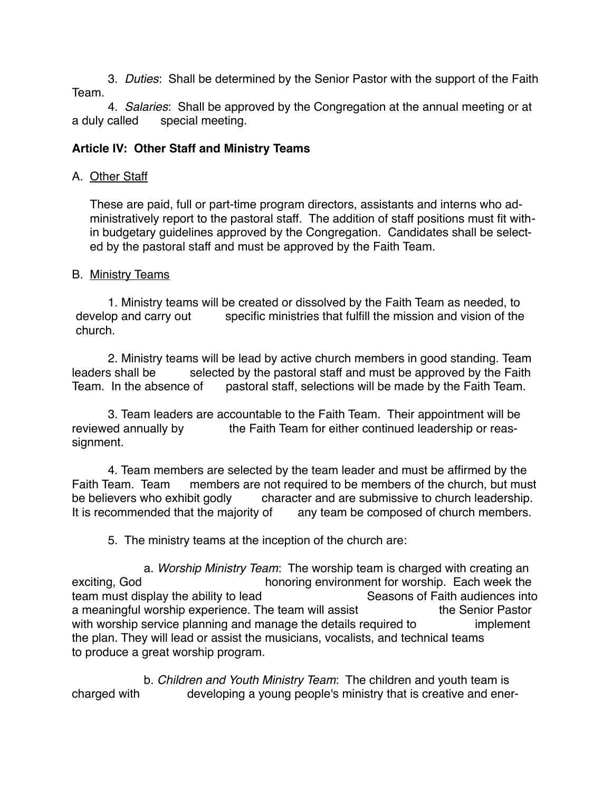3. *Duties*: Shall be determined by the Senior Pastor with the support of the Faith Team.

4. *Salaries*: Shall be approved by the Congregation at the annual meeting or at a duly called special meeting.

# **Article IV: Other Staff and Ministry Teams**

# A. Other Staff

These are paid, full or part-time program directors, assistants and interns who administratively report to the pastoral staff. The addition of staff positions must fit within budgetary guidelines approved by the Congregation. Candidates shall be selected by the pastoral staff and must be approved by the Faith Team.

# B. Ministry Teams

1. Ministry teams will be created or dissolved by the Faith Team as needed, to develop and carry out specific ministries that fulfill the mission and vision of the church.

2. Ministry teams will be lead by active church members in good standing. Team leaders shall be selected by the pastoral staff and must be approved by the Faith Team. In the absence of pastoral staff, selections will be made by the Faith Team.

3. Team leaders are accountable to the Faith Team. Their appointment will be reviewed annually by the Faith Team for either continued leadership or reassignment.

4. Team members are selected by the team leader and must be affirmed by the Faith Team. Team members are not required to be members of the church, but must be believers who exhibit godly character and are submissive to church leadership. It is recommended that the majority of any team be composed of church members.

5. The ministry teams at the inception of the church are:

a. *Worship Ministry Team*: The worship team is charged with creating an exciting, God<br>honoring environment for worship. Each week the<br>seasons of Faith audiences into team must display the ability to lead a meaningful worship experience. The team will assist the Senior Pastor with worship service planning and manage the details required to implement the plan. They will lead or assist the musicians, vocalists, and technical teams to produce a great worship program.

b. *Children and Youth Ministry Team*: The children and youth team is charged with developing a young people's ministry that is creative and ener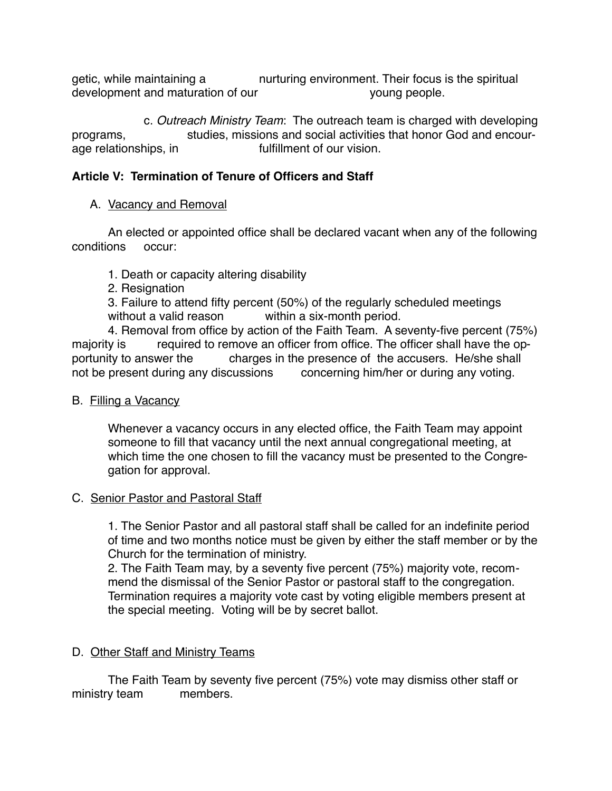getic, while maintaining a nurturing environment. Their focus is the spiritual development and maturation of our voung people.

c. *Outreach Ministry Team*: The outreach team is charged with developing programs, studies, missions and social activities that honor God and encourage relationships, in fulfillment of our vision.

# **Article V: Termination of Tenure of Officers and Staff**

# A. Vacancy and Removal

An elected or appointed office shall be declared vacant when any of the following conditions occur:

1. Death or capacity altering disability

2. Resignation

3. Failure to attend fifty percent (50%) of the regularly scheduled meetings without a valid reason within a six-month period.

4. Removal from office by action of the Faith Team. A seventy-five percent (75%) majority is required to remove an officer from office. The officer shall have the opportunity to answer the charges in the presence of the accusers. He/she shall not be present during any discussions concerning him/her or during any voting.

# B. Filling a Vacancy

Whenever a vacancy occurs in any elected office, the Faith Team may appoint someone to fill that vacancy until the next annual congregational meeting, at which time the one chosen to fill the vacancy must be presented to the Congregation for approval.

# C. Senior Pastor and Pastoral Staff

1. The Senior Pastor and all pastoral staff shall be called for an indefinite period of time and two months notice must be given by either the staff member or by the Church for the termination of ministry.

2. The Faith Team may, by a seventy five percent (75%) majority vote, recommend the dismissal of the Senior Pastor or pastoral staff to the congregation. Termination requires a majority vote cast by voting eligible members present at the special meeting. Voting will be by secret ballot.

# D. Other Staff and Ministry Teams

The Faith Team by seventy five percent (75%) vote may dismiss other staff or ministry team members.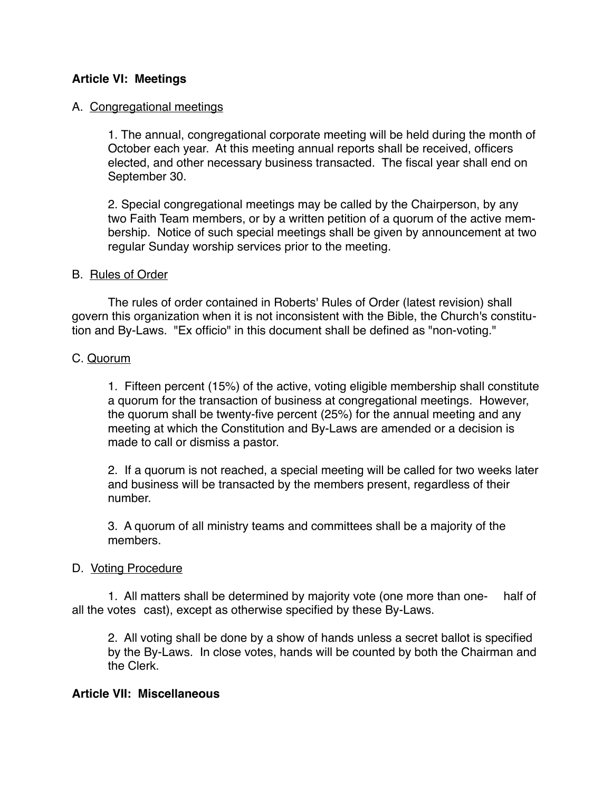# **Article VI: Meetings**

### A. Congregational meetings

1. The annual, congregational corporate meeting will be held during the month of October each year. At this meeting annual reports shall be received, officers elected, and other necessary business transacted. The fiscal year shall end on September 30.

2. Special congregational meetings may be called by the Chairperson, by any two Faith Team members, or by a written petition of a quorum of the active membership. Notice of such special meetings shall be given by announcement at two regular Sunday worship services prior to the meeting.

#### B. Rules of Order

The rules of order contained in Roberts' Rules of Order (latest revision) shall govern this organization when it is not inconsistent with the Bible, the Church's constitution and By-Laws. "Ex officio" in this document shall be defined as "non-voting."

# C. Quorum

1. Fifteen percent (15%) of the active, voting eligible membership shall constitute a quorum for the transaction of business at congregational meetings. However, the quorum shall be twenty-five percent (25%) for the annual meeting and any meeting at which the Constitution and By-Laws are amended or a decision is made to call or dismiss a pastor.

2. If a quorum is not reached, a special meeting will be called for two weeks later and business will be transacted by the members present, regardless of their number.

3. A quorum of all ministry teams and committees shall be a majority of the members.

# D. Voting Procedure

1. All matters shall be determined by majority vote (one more than one- half of all the votes cast), except as otherwise specified by these By-Laws.

2. All voting shall be done by a show of hands unless a secret ballot is specified by the By-Laws. In close votes, hands will be counted by both the Chairman and the Clerk.

#### **Article VII: Miscellaneous**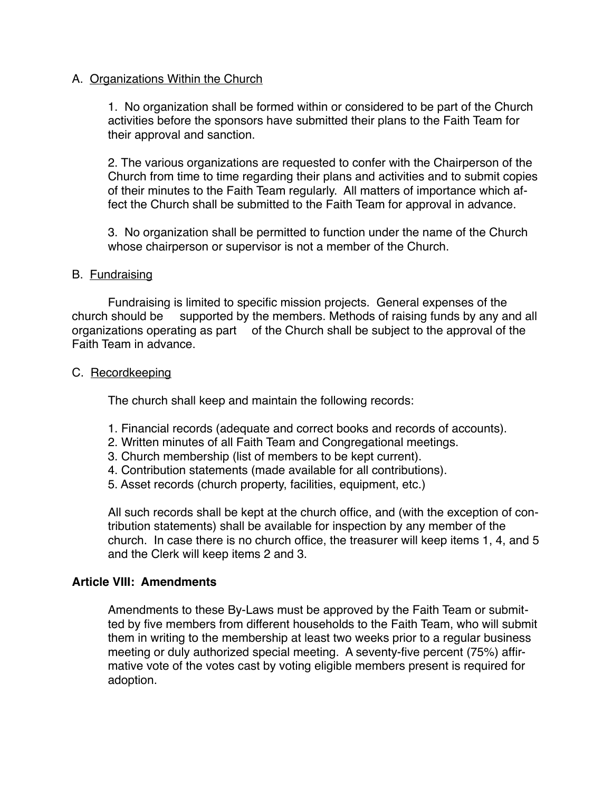### A. Organizations Within the Church

1. No organization shall be formed within or considered to be part of the Church activities before the sponsors have submitted their plans to the Faith Team for their approval and sanction.

2. The various organizations are requested to confer with the Chairperson of the Church from time to time regarding their plans and activities and to submit copies of their minutes to the Faith Team regularly. All matters of importance which affect the Church shall be submitted to the Faith Team for approval in advance.

3. No organization shall be permitted to function under the name of the Church whose chairperson or supervisor is not a member of the Church.

#### B. Fundraising

Fundraising is limited to specific mission projects. General expenses of the church should be supported by the members. Methods of raising funds by any and all organizations operating as part of the Church shall be subject to the approval of the Faith Team in advance.

### C. Recordkeeping

The church shall keep and maintain the following records:

- 1. Financial records (adequate and correct books and records of accounts).
- 2. Written minutes of all Faith Team and Congregational meetings.
- 3. Church membership (list of members to be kept current).
- 4. Contribution statements (made available for all contributions).
- 5. Asset records (church property, facilities, equipment, etc.)

All such records shall be kept at the church office, and (with the exception of contribution statements) shall be available for inspection by any member of the church. In case there is no church office, the treasurer will keep items 1, 4, and 5 and the Clerk will keep items 2 and 3.

# **Article VIII: Amendments**

Amendments to these By-Laws must be approved by the Faith Team or submitted by five members from different households to the Faith Team, who will submit them in writing to the membership at least two weeks prior to a regular business meeting or duly authorized special meeting. A seventy-five percent (75%) affirmative vote of the votes cast by voting eligible members present is required for adoption.